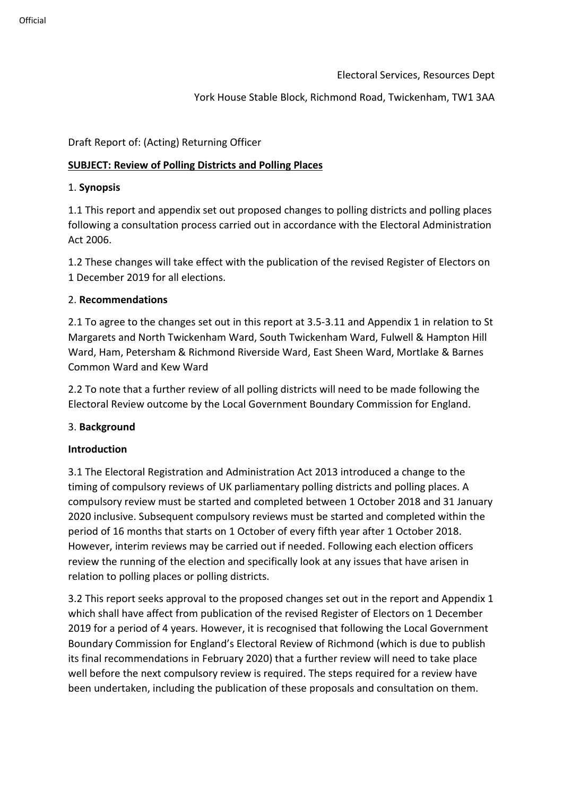Electoral Services, Resources Dept

## York House Stable Block, Richmond Road, Twickenham, TW1 3AA

Draft Report of: (Acting) Returning Officer

# **SUBJECT: Review of Polling Districts and Polling Places**

### 1. **Synopsis**

1.1 This report and appendix set out proposed changes to polling districts and polling places following a consultation process carried out in accordance with the Electoral Administration Act 2006.

1.2 These changes will take effect with the publication of the revised Register of Electors on 1 December 2019 for all elections.

## 2. **Recommendations**

2.1 To agree to the changes set out in this report at 3.5-3.11 and Appendix 1 in relation to St Margarets and North Twickenham Ward, South Twickenham Ward, Fulwell & Hampton Hill Ward, Ham, Petersham & Richmond Riverside Ward, East Sheen Ward, Mortlake & Barnes Common Ward and Kew Ward

2.2 To note that a further review of all polling districts will need to be made following the Electoral Review outcome by the Local Government Boundary Commission for England.

#### 3. **Background**

#### **Introduction**

3.1 The Electoral Registration and Administration Act 2013 introduced a change to the timing of compulsory reviews of UK parliamentary polling districts and polling places. A compulsory review must be started and completed between 1 October 2018 and 31 January 2020 inclusive. Subsequent compulsory reviews must be started and completed within the period of 16 months that starts on 1 October of every fifth year after 1 October 2018. However, interim reviews may be carried out if needed. Following each election officers review the running of the election and specifically look at any issues that have arisen in relation to polling places or polling districts.

3.2 This report seeks approval to the proposed changes set out in the report and Appendix 1 which shall have affect from publication of the revised Register of Electors on 1 December 2019 for a period of 4 years. However, it is recognised that following the Local Government Boundary Commission for England's Electoral Review of Richmond (which is due to publish its final recommendations in February 2020) that a further review will need to take place well before the next compulsory review is required. The steps required for a review have been undertaken, including the publication of these proposals and consultation on them.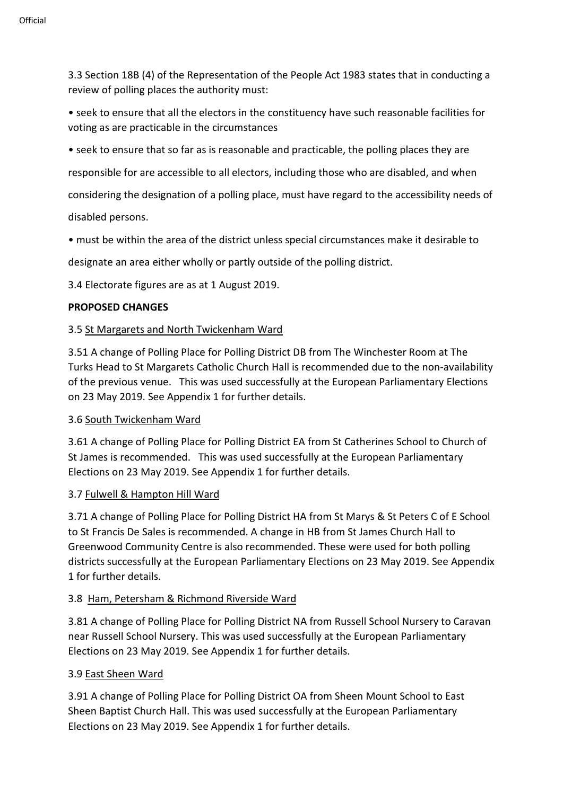3.3 Section 18B (4) of the Representation of the People Act 1983 states that in conducting a review of polling places the authority must:

• seek to ensure that all the electors in the constituency have such reasonable facilities for voting as are practicable in the circumstances

• seek to ensure that so far as is reasonable and practicable, the polling places they are

responsible for are accessible to all electors, including those who are disabled, and when

considering the designation of a polling place, must have regard to the accessibility needs of

disabled persons.

• must be within the area of the district unless special circumstances make it desirable to

designate an area either wholly or partly outside of the polling district.

3.4 Electorate figures are as at 1 August 2019.

#### **PROPOSED CHANGES**

#### 3.5 St Margarets and North Twickenham Ward

3.51 A change of Polling Place for Polling District DB from The Winchester Room at The Turks Head to St Margarets Catholic Church Hall is recommended due to the non-availability of the previous venue. This was used successfully at the European Parliamentary Elections on 23 May 2019. See Appendix 1 for further details.

#### 3.6 South Twickenham Ward

3.61 A change of Polling Place for Polling District EA from St Catherines School to Church of St James is recommended. This was used successfully at the European Parliamentary Elections on 23 May 2019. See Appendix 1 for further details.

#### 3.7 Fulwell & Hampton Hill Ward

3.71 A change of Polling Place for Polling District HA from St Marys & St Peters C of E School to St Francis De Sales is recommended. A change in HB from St James Church Hall to Greenwood Community Centre is also recommended. These were used for both polling districts successfully at the European Parliamentary Elections on 23 May 2019. See Appendix 1 for further details.

#### 3.8 Ham, Petersham & Richmond Riverside Ward

3.81 A change of Polling Place for Polling District NA from Russell School Nursery to Caravan near Russell School Nursery. This was used successfully at the European Parliamentary Elections on 23 May 2019. See Appendix 1 for further details.

#### 3.9 East Sheen Ward

3.91 A change of Polling Place for Polling District OA from Sheen Mount School to East Sheen Baptist Church Hall. This was used successfully at the European Parliamentary Elections on 23 May 2019. See Appendix 1 for further details.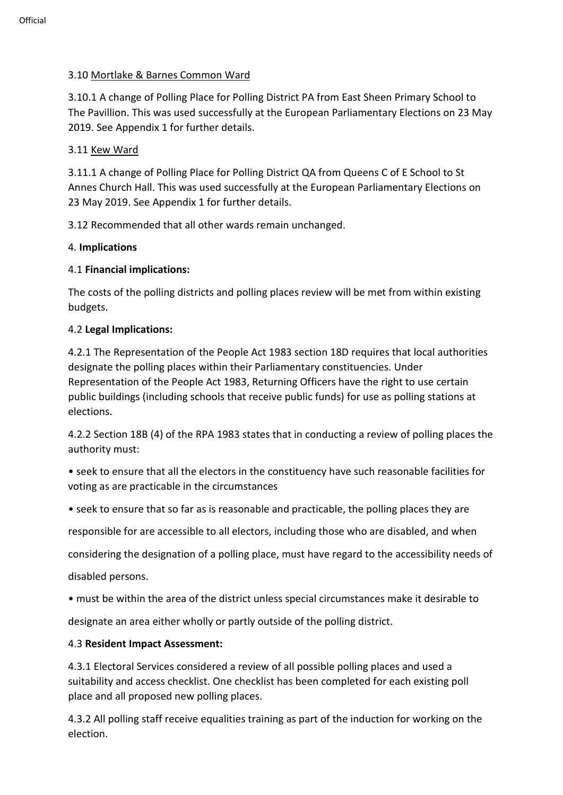# 3.10 Mortlake & Barnes Common Ward

3.10.1 A change of Polling Place for Polling District PA from East Sheen Primary School to The Pavillion. This was used successfully at the European Parliamentary Elections on 23 May 2019. See Appendix 1 for further details.

# 3.11 Kew Ward

3.11.1 A change of Polling Place for Polling District QA from Queens C of E School to St Annes Church Hall. This was used successfully at the European Parliamentary Elections on 23 May 2019. See Appendix 1 for further details.

3.12 Recommended that all other wards remain unchanged.

## 4. **Implications**

## 4.1 **Financial implications:**

The costs of the polling districts and polling places review will be met from within existing budgets.

#### 4.2 **Legal Implications:**

4.2.1 The Representation of the People Act 1983 section 18D requires that local authorities designate the polling places within their Parliamentary constituencies. Under Representation of the People Act 1983, Returning Officers have the right to use certain public buildings (including schools that receive public funds) for use as polling stations at elections.

4.2.2 Section 18B (4) of the RPA 1983 states that in conducting a review of polling places the authority must:

• seek to ensure that all the electors in the constituency have such reasonable facilities for voting as are practicable in the circumstances

• seek to ensure that so far as is reasonable and practicable, the polling places they are

responsible for are accessible to all electors, including those who are disabled, and when

considering the designation of a polling place, must have regard to the accessibility needs of

disabled persons.

• must be within the area of the district unless special circumstances make it desirable to

designate an area either wholly or partly outside of the polling district.

# 4.3 **Resident Impact Assessment:**

4.3.1 Electoral Services considered a review of all possible polling places and used a suitability and access checklist. One checklist has been completed for each existing poll place and all proposed new polling places.

4.3.2 All polling staff receive equalities training as part of the induction for working on the election.